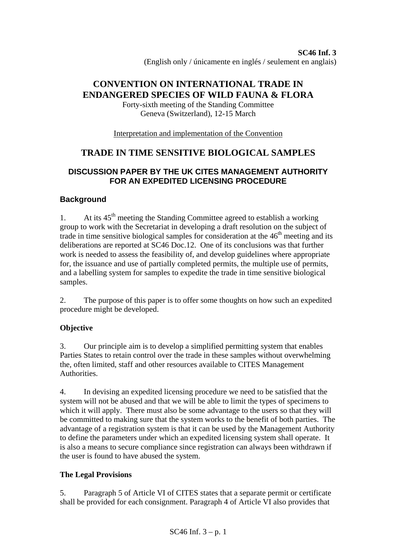# **CONVENTION ON INTERNATIONAL TRADE IN ENDANGERED SPECIES OF WILD FAUNA & FLORA**

Forty-sixth meeting of the Standing Committee Geneva (Switzerland), 12-15 March

Interpretation and implementation of the Convention

# **TRADE IN TIME SENSITIVE BIOLOGICAL SAMPLES**

# **DISCUSSION PAPER BY THE UK CITES MANAGEMENT AUTHORITY FOR AN EXPEDITED LICENSING PROCEDURE**

## **Background**

1. At its  $45<sup>th</sup>$  meeting the Standing Committee agreed to establish a working group to work with the Secretariat in developing a draft resolution on the subject of trade in time sensitive biological samples for consideration at the  $46<sup>th</sup>$  meeting and its deliberations are reported at SC46 Doc.12. One of its conclusions was that further work is needed to assess the feasibility of, and develop guidelines where appropriate for, the issuance and use of partially completed permits, the multiple use of permits, and a labelling system for samples to expedite the trade in time sensitive biological samples.

2. The purpose of this paper is to offer some thoughts on how such an expedited procedure might be developed.

## **Objective**

3. Our principle aim is to develop a simplified permitting system that enables Parties States to retain control over the trade in these samples without overwhelming the, often limited, staff and other resources available to CITES Management Authorities.

4. In devising an expedited licensing procedure we need to be satisfied that the system will not be abused and that we will be able to limit the types of specimens to which it will apply. There must also be some advantage to the users so that they will be committed to making sure that the system works to the benefit of both parties. The advantage of a registration system is that it can be used by the Management Authority to define the parameters under which an expedited licensing system shall operate. It is also a means to secure compliance since registration can always been withdrawn if the user is found to have abused the system.

# **The Legal Provisions**

5. Paragraph 5 of Article VI of CITES states that a separate permit or certificate shall be provided for each consignment. Paragraph 4 of Article VI also provides that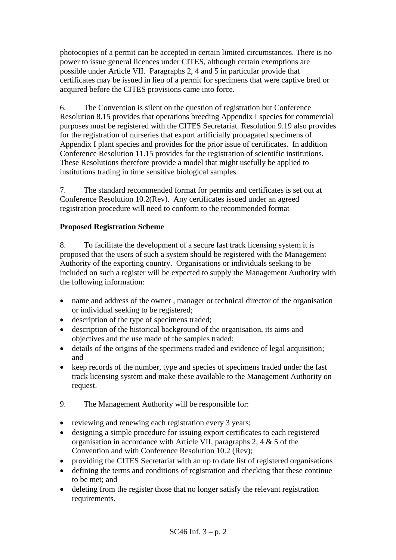photocopies of a permit can be accepted in certain limited circumstances. There is no power to issue general licences under CITES, although certain exemptions are possible under Article VII. Paragraphs 2, 4 and 5 in particular provide that certificates may be issued in lieu of a permit for specimens that were captive bred or acquired before the CITES provisions came into force.

6. The Convention is silent on the question of registration but Conference Resolution 8.15 provides that operations breeding Appendix I species for commercial purposes must be registered with the CITES Secretariat. Resolution 9.19 also provides for the registration of nurseries that export artificially propagated specimens of Appendix I plant species and provides for the prior issue of certificates. In addition Conference Resolution 11.15 provides for the registration of scientific institutions. These Resolutions therefore provide a model that might usefully be applied to institutions trading in time sensitive biological samples.

7. The standard recommended format for permits and certificates is set out at Conference Resolution 10.2(Rev). Any certificates issued under an agreed registration procedure will need to conform to the recommended format

### **Proposed Registration Scheme**

8. To facilitate the development of a secure fast track licensing system it is proposed that the users of such a system should be registered with the Management Authority of the exporting country. Organisations or individuals seeking to be included on such a register will be expected to supply the Management Authority with the following information:

- name and address of the owner, manager or technical director of the organisation or individual seeking to be registered;
- description of the type of specimens traded;
- description of the historical background of the organisation, its aims and objectives and the use made of the samples traded;
- details of the origins of the specimens traded and evidence of legal acquisition; and
- keep records of the number, type and species of specimens traded under the fast track licensing system and make these available to the Management Authority on request.
- 9. The Management Authority will be responsible for:
- reviewing and renewing each registration every 3 years;
- designing a simple procedure for issuing export certificates to each registered organisation in accordance with Article VII, paragraphs 2, 4 & 5 of the Convention and with Conference Resolution 10.2 (Rev);
- providing the CITES Secretariat with an up to date list of registered organisations
- defining the terms and conditions of registration and checking that these continue to be met; and
- deleting from the register those that no longer satisfy the relevant registration requirements.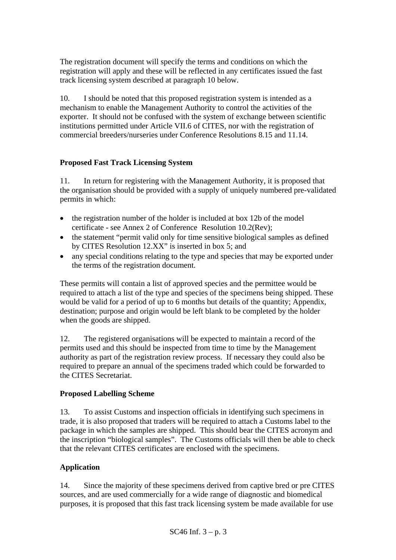The registration document will specify the terms and conditions on which the registration will apply and these will be reflected in any certificates issued the fast track licensing system described at paragraph 10 below.

10. I should be noted that this proposed registration system is intended as a mechanism to enable the Management Authority to control the activities of the exporter. It should not be confused with the system of exchange between scientific institutions permitted under Article VII.6 of CITES, nor with the registration of commercial breeders/nurseries under Conference Resolutions 8.15 and 11.14.

### **Proposed Fast Track Licensing System**

11. In return for registering with the Management Authority, it is proposed that the organisation should be provided with a supply of uniquely numbered pre-validated permits in which:

- the registration number of the holder is included at box 12b of the model certificate - see Annex 2 of Conference Resolution 10.2(Rev);
- the statement "permit valid only for time sensitive biological samples as defined by CITES Resolution 12.XX" is inserted in box 5; and
- any special conditions relating to the type and species that may be exported under the terms of the registration document.

These permits will contain a list of approved species and the permittee would be required to attach a list of the type and species of the specimens being shipped. These would be valid for a period of up to 6 months but details of the quantity; Appendix, destination; purpose and origin would be left blank to be completed by the holder when the goods are shipped.

12. The registered organisations will be expected to maintain a record of the permits used and this should be inspected from time to time by the Management authority as part of the registration review process. If necessary they could also be required to prepare an annual of the specimens traded which could be forwarded to the CITES Secretariat.

### **Proposed Labelling Scheme**

13. To assist Customs and inspection officials in identifying such specimens in trade, it is also proposed that traders will be required to attach a Customs label to the package in which the samples are shipped. This should bear the CITES acronym and the inscription "biological samples". The Customs officials will then be able to check that the relevant CITES certificates are enclosed with the specimens.

#### **Application**

14. Since the majority of these specimens derived from captive bred or pre CITES sources, and are used commercially for a wide range of diagnostic and biomedical purposes, it is proposed that this fast track licensing system be made available for use